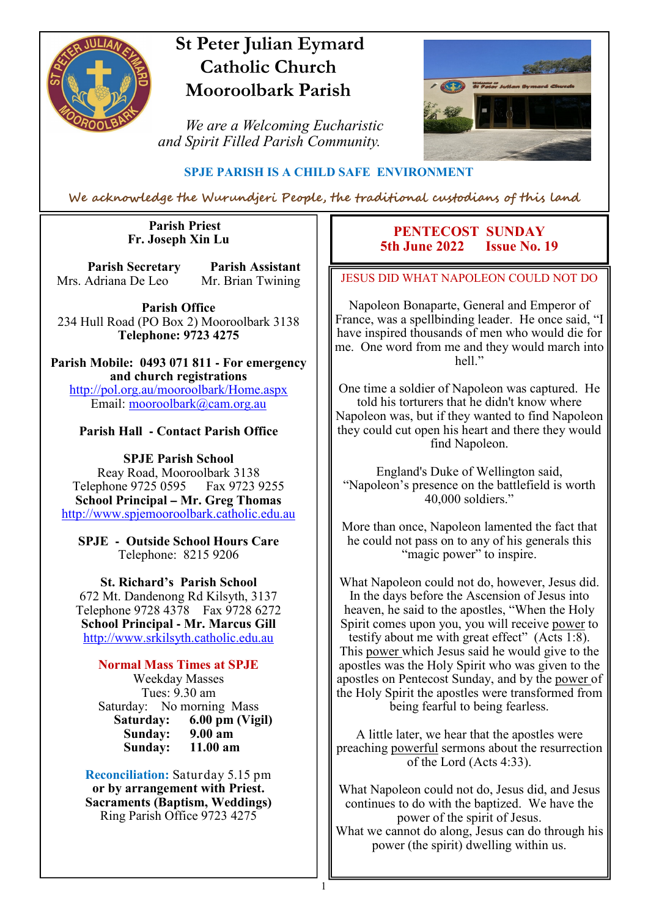

### **St Peter Julian Eymard Catholic Church Mooroolbark Parish**

 *We are a Welcoming Eucharistic and Spirit Filled Parish Community.*



#### **SPJE PARISH IS A CHILD SAFE ENVIRONMENT**

We acknowledge the Wurundjeri People, the traditional custodians of this land

1

#### **Parish Priest Fr. Joseph Xin Lu**

**Parish Secretary Parish Assistant** Mrs. Adriana De Leo Mr. Brian Twining

**Parish Office** 234 Hull Road (PO Box 2) Mooroolbark 3138 **Telephone: 9723 4275** 

**Parish Mobile: 0493 071 811 - For emergency and church registrations** http://pol.org.au/mooroolbark/Home.aspx Email: mooroolbark@cam.org.au

#### **Parish Hall - Contact Parish Office**

**SPJE Parish School** Reay Road, Mooroolbark 3138 Telephone 9725 0595 Fax 9723 9255 **School Principal – Mr. Greg Thomas** http://www.spjemooroolbark.catholic.edu.au

**SPJE - Outside School Hours Care** Telephone: 8215 9206

**St. Richard's Parish School** 672 Mt. Dandenong Rd Kilsyth, 3137 Telephone 9728 4378 Fax 9728 6272 **School Principal - Mr. Marcus Gill** http://www.srkilsyth.catholic.edu.au

**Normal Mass Times at SPJE**  Weekday Masses Tues: 9.30 am Saturday: No morning Mass<br>Saturday: 6.00 pm (Vig **6.00 pm (Vigil)**<br>9.00 am **Sunday: 9.00 am** Sunday:

**Reconciliation:** Saturday 5.15 pm **or by arrangement with Priest. Sacraments (Baptism, Weddings)**  Ring Parish Office 9723 4275

#### **PENTECOST SUNDAY**<br>**h** June 2022 **Issue No. 19 5th June 2022**

JESUS DID WHAT NAPOLEON COULD NOT DO

Napoleon Bonaparte, General and Emperor of France, was a spellbinding leader. He once said, "I have inspired thousands of men who would die for me. One word from me and they would march into hell."

One time a soldier of Napoleon was captured. He told his torturers that he didn't know where Napoleon was, but if they wanted to find Napoleon they could cut open his heart and there they would find Napoleon.

England's Duke of Wellington said, "Napoleon's presence on the battlefield is worth 40,000 soldiers."

More than once, Napoleon lamented the fact that he could not pass on to any of his generals this "magic power" to inspire.

What Napoleon could not do, however, Jesus did. In the days before the Ascension of Jesus into heaven, he said to the apostles, "When the Holy Spirit comes upon you, you will receive power to testify about me with great effect" (Acts 1:8). This power which Jesus said he would give to the apostles was the Holy Spirit who was given to the apostles on Pentecost Sunday, and by the power of the Holy Spirit the apostles were transformed from being fearful to being fearless.

A little later, we hear that the apostles were preaching powerful sermons about the resurrection of the Lord (Acts 4:33).

What Napoleon could not do, Jesus did, and Jesus continues to do with the baptized. We have the power of the spirit of Jesus. What we cannot do along, Jesus can do through his power (the spirit) dwelling within us.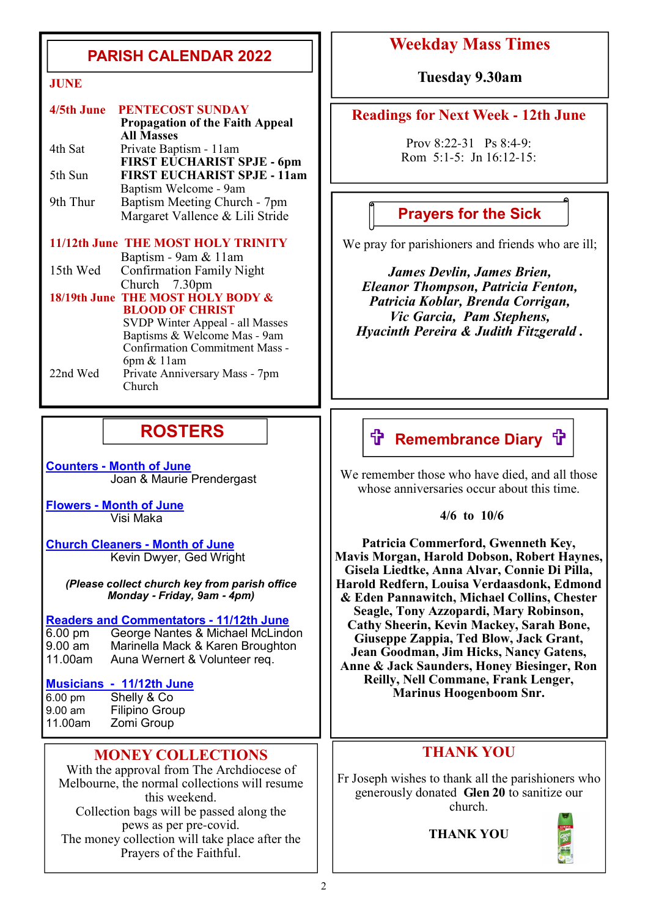### **PARISH CALENDAR 2022**

| 4/5th June | <b>PENTECOST SUNDAY</b>                                     |
|------------|-------------------------------------------------------------|
|            | <b>Propagation of the Faith Appeal</b><br><b>All Masses</b> |
| 4th Sat    | Private Baptism - 11am                                      |
|            | FIRST EUCHARIST SPJE - 6pm                                  |
| 5th Sun    | <b>FIRST EUCHARIST SPJE - 11am</b>                          |
|            | Baptism Welcome - 9am                                       |
| 9th Thur   | Baptism Meeting Church - 7pm                                |
|            | Margaret Vallence & Lili Stride                             |
|            | 11/12th June THE MOST HOLY TRINITY                          |
|            | Baptism - 9am & 11am                                        |
| 15th Wed   | <b>Confirmation Family Night</b>                            |
|            | Church $7.30 \text{pm}$                                     |
|            | 18/19th June THE MOST HOLY BODY &                           |
|            | <b>BLOOD OF CHRIST</b>                                      |
|            | SVDP Winter Anneal - all Masses                             |

SVDP Winter Appeal - all Masses Baptisms & Welcome Mas - 9am Confirmation Commitment Mass - 6pm & 11am<br>22nd Wed Private Anniv Private Anniversary Mass - 7pm Church

### **ROSTERS**

**Counters - Month of June**  Joan & Maurie Prendergast

**Flowers - Month of June**  Visi Maka

**Church Cleaners - Month of June** Kevin Dwyer, Ged Wright

*(Please collect church key from parish office Monday* **-** *Friday, 9am* **-** *4pm)*

#### **Readers and Commentators - 11/12th June**

6.00 pm George Nantes & Michael McLindon 9.00 am Marinella Mack & Karen Broughton<br>11.00am Auna Wernert & Volunteer reg. Auna Wernert & Volunteer req.

## **Musicians - 11/12th June**

6.00 pm Shelly & Co<br>9.00 am Filipino Grou 9.00 am Filipino Group<br>11.00am Zomi Group Zomi Group

#### **MONEY COLLECTIONS**

With the approval from The Archdiocese of Melbourne, the normal collections will resume this weekend. Collection bags will be passed along the pews as per pre-covid. The money collection will take place after the Prayers of the Faithful.

### **Weekday Mass Times**

**JUNE Tuesday 9.30am**

#### **Readings for Next Week - 12th June**

Prov 8:22-31 Ps 8:4-9: Rom 5:1-5: Jn 16:12-15:

### **Prayers for the Sick**

We pray for parishioners and friends who are ill;

*James Devlin, James Brien, Eleanor Thompson, Patricia Fenton, Patricia Koblar, Brenda Corrigan, Vic Garcia, Pam Stephens, Hyacinth Pereira & Judith Fitzgerald .*

### **f Remembrance Diary f**

We remember those who have died, and all those whose anniversaries occur about this time.

 **4/6 to 10/6**

**Patricia Commerford, Gwenneth Key, Mavis Morgan, Harold Dobson, Robert Haynes, Gisela Liedtke, Anna Alvar, Connie Di Pilla, Harold Redfern, Louisa Verdaasdonk, Edmond & Eden Pannawitch, Michael Collins, Chester Seagle, Tony Azzopardi, Mary Robinson, Cathy Sheerin, Kevin Mackey, Sarah Bone, Giuseppe Zappia, Ted Blow, Jack Grant, Jean Goodman, Jim Hicks, Nancy Gatens, Anne & Jack Saunders, Honey Biesinger, Ron Reilly, Nell Commane, Frank Lenger, Marinus Hoogenboom Snr.**

#### **THANK YOU**

Fr Joseph wishes to thank all the parishioners who generously donated **Glen 20** to sanitize our church.

**THANK YOU**

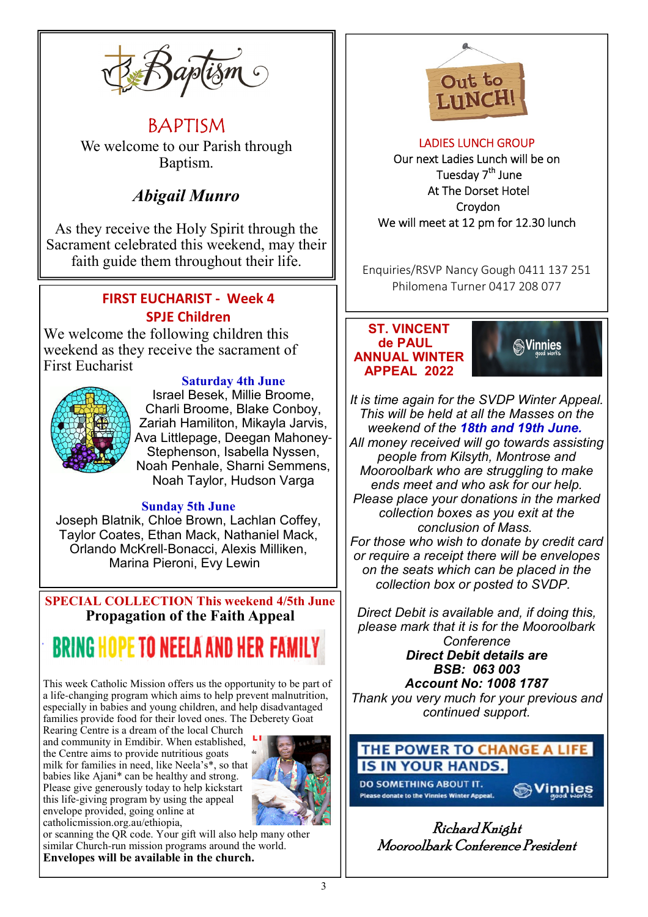

BAPTISM We welcome to our Parish through Baptism.

### *Abigail Munro*

As they receive the Holy Spirit through the Sacrament celebrated this weekend, may their faith guide them throughout their life.

#### **FIRST EUCHARIST - Week 4 SPJE Children**

We welcome the following children this weekend as they receive the sacrament of First Eucharist



**Saturday 4th June** Israel Besek, Millie Broome, Charli Broome, Blake Conboy, Zariah Hamiliton, Mikayla Jarvis, Ava Littlepage, Deegan Mahoney-Stephenson, Isabella Nyssen, Noah Penhale, Sharni Semmens, Noah Taylor, Hudson Varga

#### **Sunday 5th June**

Joseph Blatnik, Chloe Brown, Lachlan Coffey, Taylor Coates, Ethan Mack, Nathaniel Mack, Orlando McKrell-Bonacci, Alexis Milliken, Marina Pieroni, Evy Lewin

**SPECIAL COLLECTION This weekend 4/5th June Propagation of the Faith Appeal**

# **BRING HOPE TO NEELA AND HER F**

This week Catholic Mission offers us the opportunity to be part of a life-changing program which aims to help prevent malnutrition, especially in babies and young children, and help disadvantaged families provide food for their loved ones. The Deberety Goat

Rearing Centre is a dream of the local Church and community in Emdibir. When established, the Centre aims to provide nutritious goats milk for families in need, like Neela's\*, so that babies like Ajani\* can be healthy and strong. Please give generously today to help kickstart this life-giving program by using the appeal envelope provided, going online at catholicmission.org.au/ethiopia,



or scanning the QR code. Your gift will also help many other similar Church-run mission programs around the world. **Envelopes will be available in the church.** 



#### LADIES LUNCH GROUP Our next Ladies Lunch will be on Tuesday 7<sup>th</sup> June At The Dorset Hotel Croydon We will meet at 12 pm for 12.30 lunch

Enquiries/RSVP Nancy Gough 0411 137 251 Philomena Turner 0417 208 077

#### **ST. VINCENT de PAUL ANNUAL WINTER APPEAL 2022**



*It is time again for the SVDP Winter Appeal. This will be held at all the Masses on the weekend of the 18th and 19th June. All money received will go towards assisting people from Kilsyth, Montrose and Mooroolbark who are struggling to make ends meet and who ask for our help. Please place your donations in the marked collection boxes as you exit at the conclusion of Mass. For those who wish to donate by credit card or require a receipt there will be envelopes on the seats which can be placed in the collection box or posted to SVDP.*

*Direct Debit is available and, if doing this, please mark that it is for the Mooroolbark Conference Direct Debit details are BSB: 063 003 Account No: 1008 1787 Thank you very much for your previous and continued support.*

### THE POWER TO CHANGE A LIFE IN YOUR HANDS.

**DO SOMETHING ABOUT IT.** .<br>Please donate to the Vinnies Winter Appeal

**Sylinnies** 

Richard Knight Mooroolbark Conference President